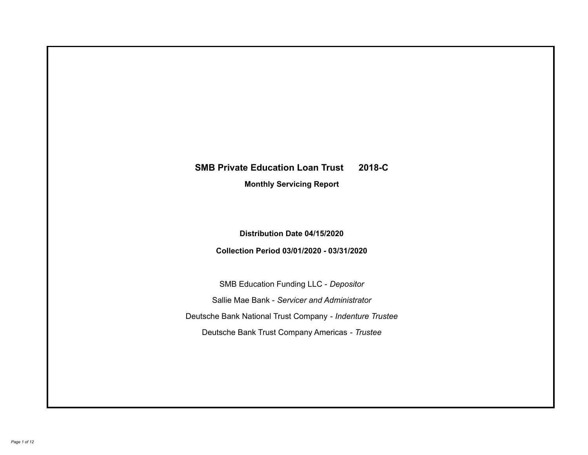# **SMB Private Education Loan Trust 2018-C Monthly Servicing Report**

## **Distribution Date 04/15/2020**

## **Collection Period 03/01/2020 - 03/31/2020**

SMB Education Funding LLC - *Depositor* Sallie Mae Bank - *Servicer and Administrator* Deutsche Bank National Trust Company - *Indenture Trustee* Deutsche Bank Trust Company Americas - *Trustee*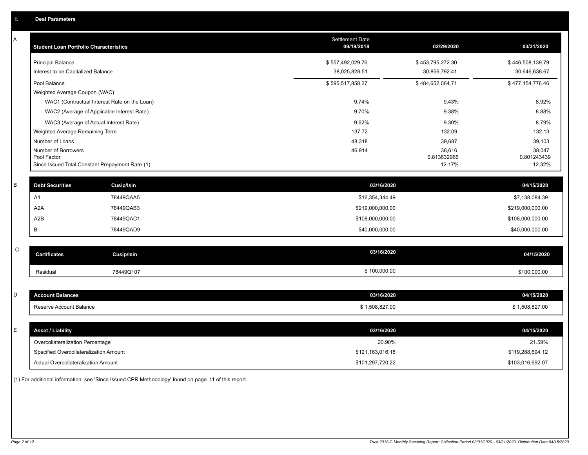| Α           | <b>Student Loan Portfolio Characteristics</b>                                                            |                                              | <b>Settlement Date</b><br>09/19/2018 | 02/29/2020                                | 03/31/2020                                |
|-------------|----------------------------------------------------------------------------------------------------------|----------------------------------------------|--------------------------------------|-------------------------------------------|-------------------------------------------|
|             | <b>Principal Balance</b><br>Interest to be Capitalized Balance                                           |                                              | \$557,492,029.76<br>38,025,828.51    | \$453,795,272.30<br>30,856,792.41         | \$446,508,139.79<br>30,646,636.67         |
|             | Pool Balance<br>Weighted Average Coupon (WAC)                                                            |                                              | \$595,517,858.27                     | \$484,652,064.71                          | \$477,154,776.46                          |
|             |                                                                                                          | WAC1 (Contractual Interest Rate on the Loan) | 9.74%                                | 9.43%                                     | 8.92%                                     |
|             | WAC2 (Average of Applicable Interest Rate)                                                               |                                              | 9.70%                                | 9.38%                                     | 8.88%                                     |
|             | WAC3 (Average of Actual Interest Rate)                                                                   |                                              | 9.62%                                | 9.30%                                     | 8.79%                                     |
|             | Weighted Average Remaining Term                                                                          |                                              | 137.72                               | 132.09                                    | 132.13                                    |
|             | Number of Loans<br>Number of Borrowers<br>Pool Factor<br>Since Issued Total Constant Prepayment Rate (1) |                                              | 48,318<br>46,914                     | 39,687<br>38,616<br>0.813832966<br>12.17% | 39,103<br>38,047<br>0.801243439<br>12.32% |
|             |                                                                                                          |                                              |                                      |                                           |                                           |
| B           | <b>Debt Securities</b>                                                                                   | Cusip/Isin                                   | 03/16/2020                           |                                           | 04/15/2020                                |
|             | A1                                                                                                       | 78449QAA5                                    | \$16,354,344.49                      |                                           | \$7,138,084.39                            |
|             | A <sub>2</sub> A                                                                                         | 78449QAB3                                    | \$219,000,000.00                     |                                           | \$219,000,000.00                          |
|             | A <sub>2</sub> B                                                                                         | 78449QAC1                                    | \$108,000,000.00                     |                                           | \$108,000,000.00                          |
|             | В                                                                                                        | 78449QAD9                                    | \$40,000,000.00                      |                                           | \$40,000,000.00                           |
| $\mathsf C$ |                                                                                                          |                                              |                                      |                                           |                                           |
|             | <b>Certificates</b>                                                                                      | <b>Cusip/Isin</b>                            | 03/16/2020                           |                                           | 04/15/2020                                |
|             | Residual                                                                                                 | 78449Q107                                    | \$100,000.00                         |                                           | \$100,000.00                              |
|             |                                                                                                          |                                              |                                      |                                           |                                           |
| D           | <b>Account Balances</b>                                                                                  |                                              | 03/16/2020                           |                                           | 04/15/2020                                |
|             | Reserve Account Balance                                                                                  |                                              | \$1,508,827.00                       |                                           | \$1,508,827.00                            |
|             |                                                                                                          |                                              |                                      |                                           |                                           |
| Е           | <b>Asset / Liability</b>                                                                                 |                                              | 03/16/2020                           |                                           | 04/15/2020                                |
|             | Overcollateralization Percentage                                                                         |                                              | 20.90%                               |                                           | 21.59%                                    |
|             | Specified Overcollateralization Amount                                                                   |                                              | \$121,163,016.18                     |                                           | \$119,288,694.12                          |
|             | Actual Overcollateralization Amount                                                                      |                                              | \$101,297,720.22                     |                                           | \$103,016,692.07                          |

(1) For additional information, see 'Since Issued CPR Methodology' found on page 11 of this report.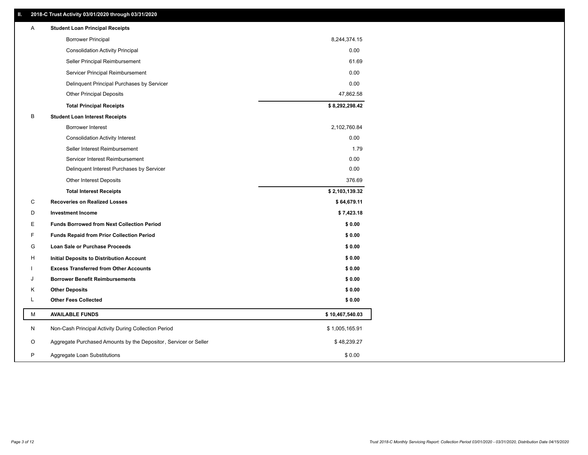## **II. 2018-C Trust Activity 03/01/2020 through 03/31/2020**

| Α | <b>Student Loan Principal Receipts</b>                           |                 |  |
|---|------------------------------------------------------------------|-----------------|--|
|   | <b>Borrower Principal</b>                                        | 8,244,374.15    |  |
|   | <b>Consolidation Activity Principal</b>                          | 0.00            |  |
|   | Seller Principal Reimbursement                                   | 61.69           |  |
|   | Servicer Principal Reimbursement                                 | 0.00            |  |
|   | Delinquent Principal Purchases by Servicer                       | 0.00            |  |
|   | <b>Other Principal Deposits</b>                                  | 47,862.58       |  |
|   | <b>Total Principal Receipts</b>                                  | \$8,292,298.42  |  |
| В | <b>Student Loan Interest Receipts</b>                            |                 |  |
|   | Borrower Interest                                                | 2,102,760.84    |  |
|   | <b>Consolidation Activity Interest</b>                           | 0.00            |  |
|   | Seller Interest Reimbursement                                    | 1.79            |  |
|   | Servicer Interest Reimbursement                                  | 0.00            |  |
|   | Delinquent Interest Purchases by Servicer                        | 0.00            |  |
|   | <b>Other Interest Deposits</b>                                   | 376.69          |  |
|   | <b>Total Interest Receipts</b>                                   | \$2,103,139.32  |  |
| С | <b>Recoveries on Realized Losses</b>                             | \$64,679.11     |  |
| D | <b>Investment Income</b>                                         | \$7,423.18      |  |
| Е | <b>Funds Borrowed from Next Collection Period</b>                | \$0.00          |  |
| F | <b>Funds Repaid from Prior Collection Period</b>                 | \$0.00          |  |
| G | Loan Sale or Purchase Proceeds                                   | \$0.00          |  |
| н | Initial Deposits to Distribution Account                         | \$0.00          |  |
|   | <b>Excess Transferred from Other Accounts</b>                    | \$0.00          |  |
| J | <b>Borrower Benefit Reimbursements</b>                           | \$0.00          |  |
| Κ | <b>Other Deposits</b>                                            | \$0.00          |  |
| Г | <b>Other Fees Collected</b>                                      | \$0.00          |  |
| М | <b>AVAILABLE FUNDS</b>                                           | \$10,467,540.03 |  |
| N | Non-Cash Principal Activity During Collection Period             | \$1,005,165.91  |  |
| O | Aggregate Purchased Amounts by the Depositor, Servicer or Seller | \$48,239.27     |  |
| P | Aggregate Loan Substitutions                                     | \$0.00          |  |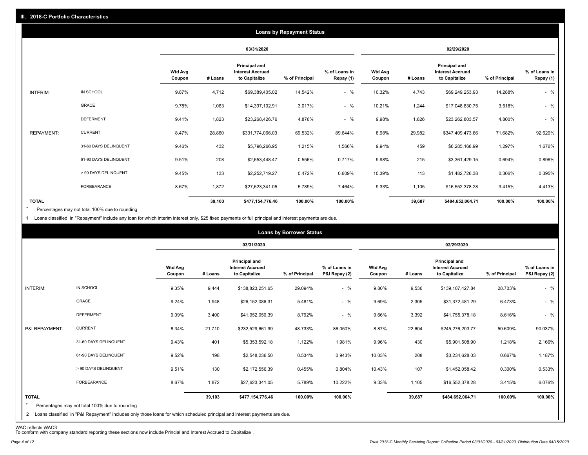|                   |                       |                          |         |                                                                  | <b>Loans by Repayment Status</b> |                            |                          |         |                                                           |                |                            |
|-------------------|-----------------------|--------------------------|---------|------------------------------------------------------------------|----------------------------------|----------------------------|--------------------------|---------|-----------------------------------------------------------|----------------|----------------------------|
|                   |                       |                          |         | 03/31/2020                                                       |                                  |                            |                          |         | 02/29/2020                                                |                |                            |
|                   |                       | <b>Wtd Avg</b><br>Coupon | # Loans | <b>Principal and</b><br><b>Interest Accrued</b><br>to Capitalize | % of Principal                   | % of Loans in<br>Repay (1) | <b>Wtd Avg</b><br>Coupon | # Loans | Principal and<br><b>Interest Accrued</b><br>to Capitalize | % of Principal | % of Loans in<br>Repay (1) |
| INTERIM:          | IN SCHOOL             | 9.87%                    | 4,712   | \$69,389,405.02                                                  | 14.542%                          | $-$ %                      | 10.32%                   | 4,743   | \$69,249,253.93                                           | 14.288%        | $-$ %                      |
|                   | <b>GRACE</b>          | 9.78%                    | 1,063   | \$14,397,102.91                                                  | 3.017%                           | $-$ %                      | 10.21%                   | 1,244   | \$17,048,830.75                                           | 3.518%         | $-$ %                      |
|                   | <b>DEFERMENT</b>      | 9.41%                    | 1,823   | \$23,268,426.76                                                  | 4.876%                           | $-$ %                      | 9.98%                    | 1,826   | \$23,262,803.57                                           | 4.800%         | $-$ %                      |
| <b>REPAYMENT:</b> | <b>CURRENT</b>        | 8.47%                    | 28,860  | \$331,774,066.03                                                 | 69.532%                          | 89.644%                    | 8.98%                    | 29,982  | \$347,409,473.66                                          | 71.682%        | 92.620%                    |
|                   | 31-60 DAYS DELINQUENT | 9.46%                    | 432     | \$5,796,266.95                                                   | 1.215%                           | 1.566%                     | 9.94%                    | 459     | \$6,285,168.99                                            | 1.297%         | 1.676%                     |
|                   | 61-90 DAYS DELINQUENT | 9.51%                    | 208     | \$2,653,448.47                                                   | 0.556%                           | 0.717%                     | 9.98%                    | 215     | \$3,361,429.15                                            | 0.694%         | 0.896%                     |
|                   | > 90 DAYS DELINQUENT  | 9.45%                    | 133     | \$2,252,719.27                                                   | 0.472%                           | 0.609%                     | 10.39%                   | 113     | \$1,482,726.38                                            | 0.306%         | 0.395%                     |
|                   | FORBEARANCE           | 8.67%                    | 1,872   | \$27,623,341.05                                                  | 5.789%                           | 7.464%                     | 9.33%                    | 1,105   | \$16,552,378.28                                           | 3.415%         | 4.413%                     |
| <b>TOTAL</b>      |                       |                          | 39,103  | \$477,154,776.46                                                 | 100.00%                          | 100.00%                    |                          | 39,687  | \$484,652,064.71                                          | 100.00%        | 100.00%                    |

Percentages may not total 100% due to rounding  $\star$ 

1 Loans classified in "Repayment" include any loan for which interim interest only, \$25 fixed payments or full principal and interest payments are due.

|                         |                                                                                                                              |                          |         |                                                           | <b>Loans by Borrower Status</b> |                                |                          |         |                                                           |                |                                |
|-------------------------|------------------------------------------------------------------------------------------------------------------------------|--------------------------|---------|-----------------------------------------------------------|---------------------------------|--------------------------------|--------------------------|---------|-----------------------------------------------------------|----------------|--------------------------------|
|                         |                                                                                                                              |                          |         | 03/31/2020                                                |                                 |                                |                          |         | 02/29/2020                                                |                |                                |
|                         |                                                                                                                              | <b>Wtd Avg</b><br>Coupon | # Loans | Principal and<br><b>Interest Accrued</b><br>to Capitalize | % of Principal                  | % of Loans in<br>P&I Repay (2) | <b>Wtd Avg</b><br>Coupon | # Loans | Principal and<br><b>Interest Accrued</b><br>to Capitalize | % of Principal | % of Loans in<br>P&I Repay (2) |
| INTERIM:                | IN SCHOOL                                                                                                                    | 9.35%                    | 9,444   | \$138,823,251.65                                          | 29.094%                         | $-$ %                          | 9.80%                    | 9,536   | \$139,107,427.84                                          | 28.703%        | $-$ %                          |
|                         | <b>GRACE</b>                                                                                                                 | 9.24%                    | 1,948   | \$26,152,086.31                                           | 5.481%                          | $-$ %                          | 9.69%                    | 2,305   | \$31,372,481.29                                           | 6.473%         | $-$ %                          |
|                         | <b>DEFERMENT</b>                                                                                                             | 9.09%                    | 3,400   | \$41,952,050.39                                           | 8.792%                          | $-$ %                          | 9.66%                    | 3,392   | \$41,755,378.18                                           | 8.616%         | $-$ %                          |
| P&I REPAYMENT:          | <b>CURRENT</b>                                                                                                               | 8.34%                    | 21,710  | \$232,529,661.99                                          | 48.733%                         | 86.050%                        | 8.87%                    | 22,604  | \$245,276,203.77                                          | 50.609%        | 90.037%                        |
|                         | 31-60 DAYS DELINQUENT                                                                                                        | 9.43%                    | 401     | \$5,353,592.18                                            | 1.122%                          | 1.981%                         | 9.96%                    | 430     | \$5,901,508.90                                            | 1.218%         | 2.166%                         |
|                         | 61-90 DAYS DELINQUENT                                                                                                        | 9.52%                    | 198     | \$2,548,236.50                                            | 0.534%                          | 0.943%                         | 10.03%                   | 208     | \$3,234,628.03                                            | 0.667%         | 1.187%                         |
|                         | > 90 DAYS DELINQUENT                                                                                                         | 9.51%                    | 130     | \$2,172,556.39                                            | 0.455%                          | 0.804%                         | 10.43%                   | 107     | \$1,452,058.42                                            | 0.300%         | 0.533%                         |
|                         | FORBEARANCE                                                                                                                  | 8.67%                    | 1,872   | \$27,623,341.05                                           | 5.789%                          | 10.222%                        | 9.33%                    | 1,105   | \$16,552,378.28                                           | 3.415%         | 6.076%                         |
| <b>TOTAL</b><br>$\star$ | Percentages may not total 100% due to rounding                                                                               |                          | 39,103  | \$477,154,776.46                                          | 100.00%                         | 100.00%                        |                          | 39,687  | \$484,652,064.71                                          | 100.00%        | 100.00%                        |
|                         | 2 Loans classified in "P&I Repayment" includes only those loans for which scheduled principal and interest payments are due. |                          |         |                                                           |                                 |                                |                          |         |                                                           |                |                                |

WAC reflects WAC3 To conform with company standard reporting these sections now include Princial and Interest Accrued to Capitalize .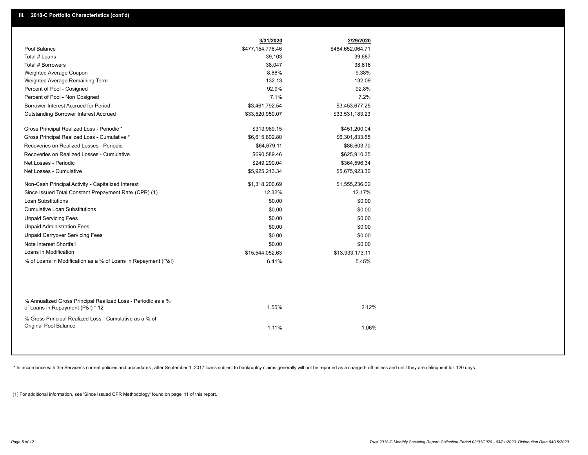|                                                                                                  | 3/31/2020        | 2/29/2020        |  |
|--------------------------------------------------------------------------------------------------|------------------|------------------|--|
| Pool Balance                                                                                     | \$477,154,776.46 | \$484,652,064.71 |  |
| Total # Loans                                                                                    | 39,103           | 39,687           |  |
| Total # Borrowers                                                                                | 38,047           | 38,616           |  |
| Weighted Average Coupon                                                                          | 8.88%            | 9.38%            |  |
| Weighted Average Remaining Term                                                                  | 132.13           | 132.09           |  |
| Percent of Pool - Cosigned                                                                       | 92.9%            | 92.8%            |  |
| Percent of Pool - Non Cosigned                                                                   | 7.1%             | 7.2%             |  |
| Borrower Interest Accrued for Period                                                             | \$3,461,792.54   | \$3,453,677.25   |  |
| Outstanding Borrower Interest Accrued                                                            | \$33,520,950.07  | \$33,531,183.23  |  |
| Gross Principal Realized Loss - Periodic *                                                       | \$313,969.15     | \$451,200.04     |  |
| Gross Principal Realized Loss - Cumulative *                                                     | \$6,615,802.80   | \$6,301,833.65   |  |
| Recoveries on Realized Losses - Periodic                                                         | \$64,679.11      | \$86,603.70      |  |
| Recoveries on Realized Losses - Cumulative                                                       | \$690,589.46     | \$625,910.35     |  |
| Net Losses - Periodic                                                                            | \$249,290.04     | \$364,596.34     |  |
| Net Losses - Cumulative                                                                          | \$5,925,213.34   | \$5,675,923.30   |  |
| Non-Cash Principal Activity - Capitalized Interest                                               | \$1,318,200.69   | \$1,555,236.02   |  |
| Since Issued Total Constant Prepayment Rate (CPR) (1)                                            | 12.32%           | 12.17%           |  |
| <b>Loan Substitutions</b>                                                                        | \$0.00           | \$0.00           |  |
| <b>Cumulative Loan Substitutions</b>                                                             | \$0.00           | \$0.00           |  |
| <b>Unpaid Servicing Fees</b>                                                                     | \$0.00           | \$0.00           |  |
| <b>Unpaid Administration Fees</b>                                                                | \$0.00           | \$0.00           |  |
| <b>Unpaid Carryover Servicing Fees</b>                                                           | \$0.00           | \$0.00           |  |
| Note Interest Shortfall                                                                          | \$0.00           | \$0.00           |  |
| Loans in Modification                                                                            | \$15,544,052.63  | \$13,933,173.11  |  |
| % of Loans in Modification as a % of Loans in Repayment (P&I)                                    | 6.41%            | 5.45%            |  |
|                                                                                                  |                  |                  |  |
| % Annualized Gross Principal Realized Loss - Periodic as a %<br>of Loans in Repayment (P&I) * 12 | 1.55%            | 2.12%            |  |
| % Gross Principal Realized Loss - Cumulative as a % of<br>Original Pool Balance                  | 1.11%            | 1.06%            |  |

\* In accordance with the Servicer's current policies and procedures, after September 1, 2017 loans subject to bankruptcy claims generally will not be reported as a charged- off unless and until they are delinquent for 120

(1) For additional information, see 'Since Issued CPR Methodology' found on page 11 of this report.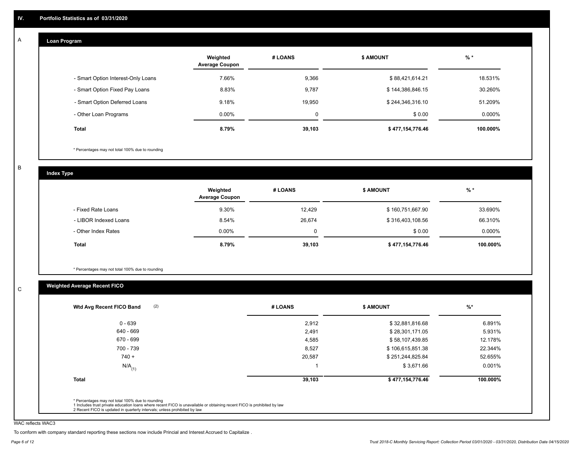#### **Loan Program**  A

|                                    | Weighted<br><b>Average Coupon</b> | # LOANS | <b>\$ AMOUNT</b> | $%$ *    |
|------------------------------------|-----------------------------------|---------|------------------|----------|
| - Smart Option Interest-Only Loans | 7.66%                             | 9,366   | \$88,421,614.21  | 18.531%  |
| - Smart Option Fixed Pay Loans     | 8.83%                             | 9,787   | \$144,386,846.15 | 30.260%  |
| - Smart Option Deferred Loans      | 9.18%                             | 19.950  | \$244,346,316.10 | 51.209%  |
| - Other Loan Programs              | $0.00\%$                          | 0       | \$0.00           | 0.000%   |
| <b>Total</b>                       | 8.79%                             | 39,103  | \$477,154,776.46 | 100.000% |

\* Percentages may not total 100% due to rounding

B

C

**Index Type**

|                       | Weighted<br><b>Average Coupon</b> | # LOANS | <b>\$ AMOUNT</b> | $%$ *    |
|-----------------------|-----------------------------------|---------|------------------|----------|
| - Fixed Rate Loans    | 9.30%                             | 12,429  | \$160,751,667.90 | 33.690%  |
| - LIBOR Indexed Loans | 8.54%                             | 26,674  | \$316,403,108.56 | 66.310%  |
| - Other Index Rates   | $0.00\%$                          | 0       | \$0.00           | 0.000%   |
| <b>Total</b>          | 8.79%                             | 39,103  | \$477,154,776.46 | 100.000% |

\* Percentages may not total 100% due to rounding

## **Weighted Average Recent FICO**

| 2,912<br>2,491<br>4,585 | \$32,881,816.68<br>\$28,301,171.05<br>\$58,107,439.85 | 6.891%<br>5.931% |
|-------------------------|-------------------------------------------------------|------------------|
|                         |                                                       |                  |
|                         |                                                       |                  |
|                         |                                                       | 12.178%          |
| 8,527                   | \$106,615,851.38                                      | 22.344%          |
| 20,587                  | \$251,244,825.84                                      | 52.655%          |
|                         | \$3,671.66                                            | 0.001%           |
| 39,103                  | \$477,154,776.46                                      | 100.000%         |
|                         |                                                       |                  |

WAC reflects WAC3

To conform with company standard reporting these sections now include Princial and Interest Accrued to Capitalize .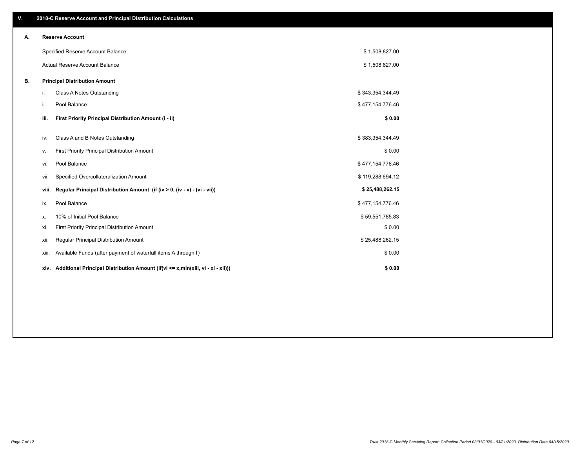| ٧. |       | 2018-C Reserve Account and Principal Distribution Calculations                  |                  |  |
|----|-------|---------------------------------------------------------------------------------|------------------|--|
| А. |       | <b>Reserve Account</b>                                                          |                  |  |
|    |       | Specified Reserve Account Balance                                               | \$1,508,827.00   |  |
|    |       | Actual Reserve Account Balance                                                  | \$1,508,827.00   |  |
| В. |       | <b>Principal Distribution Amount</b>                                            |                  |  |
|    | j.    | Class A Notes Outstanding                                                       | \$343,354,344.49 |  |
|    | ii.   | Pool Balance                                                                    | \$477,154,776.46 |  |
|    | iii.  | First Priority Principal Distribution Amount (i - ii)                           | \$0.00           |  |
|    | iv.   | Class A and B Notes Outstanding                                                 | \$383,354,344.49 |  |
|    | v.    | First Priority Principal Distribution Amount                                    | \$0.00           |  |
|    | vi.   | Pool Balance                                                                    | \$477,154,776.46 |  |
|    | vii.  | Specified Overcollateralization Amount                                          | \$119,288,694.12 |  |
|    | viii. | Regular Principal Distribution Amount (if (iv > 0, (iv - v) - (vi - vii))       | \$25,488,262.15  |  |
|    | ix.   | Pool Balance                                                                    | \$477,154,776.46 |  |
|    | х.    | 10% of Initial Pool Balance                                                     | \$59,551,785.83  |  |
|    | xi.   | First Priority Principal Distribution Amount                                    | \$0.00           |  |
|    | xii.  | Regular Principal Distribution Amount                                           | \$25,488,262.15  |  |
|    | xiii. | Available Funds (after payment of waterfall items A through I)                  | \$0.00           |  |
|    | xiv.  | Additional Principal Distribution Amount (if(vi <= x,min(xiii, vi - xi - xii))) | \$0.00           |  |
|    |       |                                                                                 |                  |  |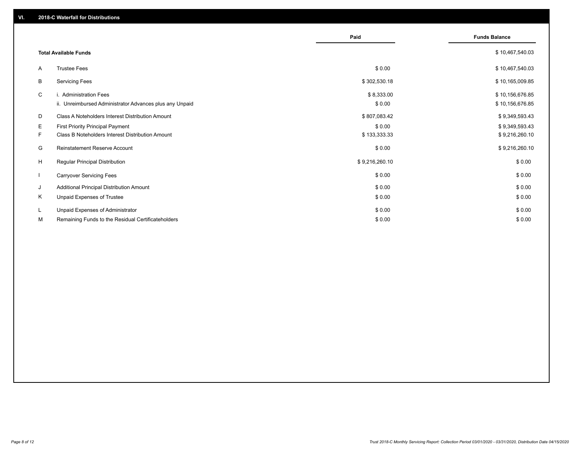|              |                                                                                   | Paid                 | <b>Funds Balance</b>               |
|--------------|-----------------------------------------------------------------------------------|----------------------|------------------------------------|
|              | <b>Total Available Funds</b>                                                      |                      | \$10,467,540.03                    |
| A            | <b>Trustee Fees</b>                                                               | \$0.00               | \$10,467,540.03                    |
| В            | <b>Servicing Fees</b>                                                             | \$302,530.18         | \$10,165,009.85                    |
| C            | i. Administration Fees<br>ii. Unreimbursed Administrator Advances plus any Unpaid | \$8,333.00<br>\$0.00 | \$10,156,676.85<br>\$10,156,676.85 |
| D            | Class A Noteholders Interest Distribution Amount                                  | \$807,083.42         | \$9,349,593.43                     |
| E.           | <b>First Priority Principal Payment</b>                                           | \$0.00               | \$9,349,593.43                     |
| F.           | Class B Noteholders Interest Distribution Amount                                  | \$133,333.33         | \$9,216,260.10                     |
| G            | Reinstatement Reserve Account                                                     | \$0.00               | \$9,216,260.10                     |
| H            | Regular Principal Distribution                                                    | \$9,216,260.10       | \$0.00                             |
| $\mathbf{I}$ | <b>Carryover Servicing Fees</b>                                                   | \$0.00               | \$0.00                             |
| J            | Additional Principal Distribution Amount                                          | \$0.00               | \$0.00                             |
| Κ            | Unpaid Expenses of Trustee                                                        | \$0.00               | \$0.00                             |
| L            | Unpaid Expenses of Administrator                                                  | \$0.00               | \$0.00                             |
| М            | Remaining Funds to the Residual Certificateholders                                | \$0.00               | \$0.00                             |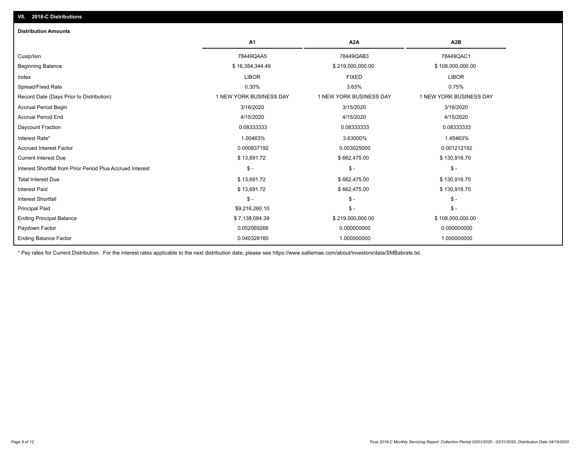| <b>Distribution Amounts</b>                                |                         |                         |                         |
|------------------------------------------------------------|-------------------------|-------------------------|-------------------------|
|                                                            | A <sub>1</sub>          | A <sub>2</sub> A        | A <sub>2</sub> B        |
| Cusip/Isin                                                 | 78449QAA5               | 78449QAB3               | 78449QAC1               |
| <b>Beginning Balance</b>                                   | \$16,354,344.49         | \$219,000,000.00        | \$108,000,000.00        |
| Index                                                      | <b>LIBOR</b>            | <b>FIXED</b>            | <b>LIBOR</b>            |
| Spread/Fixed Rate                                          | 0.30%                   | 3.63%                   | 0.75%                   |
| Record Date (Days Prior to Distribution)                   | 1 NEW YORK BUSINESS DAY | 1 NEW YORK BUSINESS DAY | 1 NEW YORK BUSINESS DAY |
| <b>Accrual Period Begin</b>                                | 3/16/2020               | 3/15/2020               | 3/16/2020               |
| <b>Accrual Period End</b>                                  | 4/15/2020               | 4/15/2020               | 4/15/2020               |
| Daycount Fraction                                          | 0.08333333              | 0.08333333              | 0.08333333              |
| Interest Rate*                                             | 1.00463%                | 3.63000%                | 1.45463%                |
| <b>Accrued Interest Factor</b>                             | 0.000837192             | 0.003025000             | 0.001212192             |
| <b>Current Interest Due</b>                                | \$13,691.72             | \$662,475.00            | \$130,916.70            |
| Interest Shortfall from Prior Period Plus Accrued Interest | $\mathsf{\$}$ -         | $\frac{1}{2}$           | $$ -$                   |
| <b>Total Interest Due</b>                                  | \$13,691.72             | \$662,475.00            | \$130,916.70            |
| <b>Interest Paid</b>                                       | \$13,691.72             | \$662,475.00            | \$130,916.70            |
| <b>Interest Shortfall</b>                                  | $\mathsf{\$}$ -         | $\mathsf{\$}$ -         | $$ -$                   |
| <b>Principal Paid</b>                                      | \$9,216,260.10          | $\mathsf{\$}$ -         | $$ -$                   |
| <b>Ending Principal Balance</b>                            | \$7,138,084.39          | \$219,000,000.00        | \$108,000,000.00        |
| Paydown Factor                                             | 0.052069266             | 0.000000000             | 0.000000000             |
| <b>Ending Balance Factor</b>                               | 0.040328160             | 1.000000000             | 1.000000000             |

\* Pay rates for Current Distribution. For the interest rates applicable to the next distribution date, please see https://www.salliemae.com/about/investors/data/SMBabrate.txt.

**VII. 2018-C Distributions**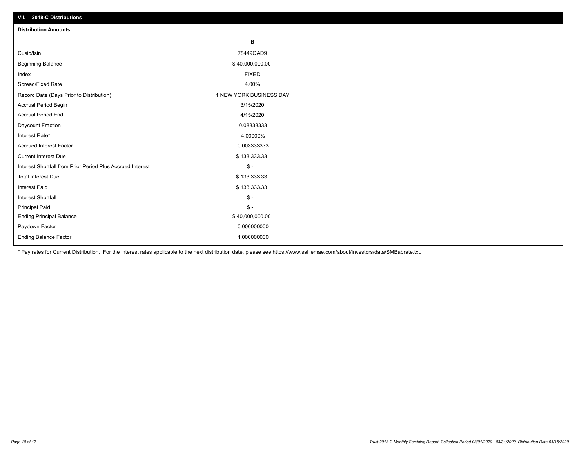| VII. ZU 10-U DISTIBUTURIS                                  |                         |
|------------------------------------------------------------|-------------------------|
| <b>Distribution Amounts</b>                                |                         |
|                                                            | В                       |
| Cusip/Isin                                                 | 78449QAD9               |
| <b>Beginning Balance</b>                                   | \$40,000,000.00         |
| Index                                                      | <b>FIXED</b>            |
| Spread/Fixed Rate                                          | 4.00%                   |
| Record Date (Days Prior to Distribution)                   | 1 NEW YORK BUSINESS DAY |
| Accrual Period Begin                                       | 3/15/2020               |
| <b>Accrual Period End</b>                                  | 4/15/2020               |
| Daycount Fraction                                          | 0.08333333              |
| Interest Rate*                                             | 4.00000%                |
| <b>Accrued Interest Factor</b>                             | 0.003333333             |
| <b>Current Interest Due</b>                                | \$133,333.33            |
| Interest Shortfall from Prior Period Plus Accrued Interest | $\mathcal{S}$ -         |
| <b>Total Interest Due</b>                                  | \$133,333.33            |
| <b>Interest Paid</b>                                       | \$133,333.33            |
| Interest Shortfall                                         | $\mathsf{\$}$ -         |
| <b>Principal Paid</b>                                      | $\frac{1}{2}$           |
| <b>Ending Principal Balance</b>                            | \$40,000,000.00         |
| Paydown Factor                                             | 0.000000000             |
| <b>Ending Balance Factor</b>                               | 1.000000000             |

\* Pay rates for Current Distribution. For the interest rates applicable to the next distribution date, please see https://www.salliemae.com/about/investors/data/SMBabrate.txt.

**VII. 2018-C Distributions**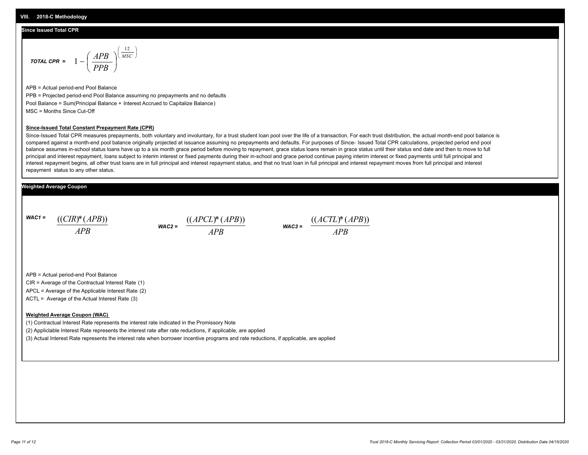## **Since Issued Total CPR**

$$
\text{total CPR} = 1 - \left(\frac{APB}{PPB}\right)^{\left(\frac{12}{MSC}\right)}
$$

APB = Actual period-end Pool Balance PPB = Projected period-end Pool Balance assuming no prepayments and no defaults Pool Balance = Sum(Principal Balance + Interest Accrued to Capitalize Balance) MSC = Months Since Cut-Off

#### **Since-Issued Total Constant Prepayment Rate (CPR)**

Since-Issued Total CPR measures prepayments, both voluntary and involuntary, for a trust student loan pool over the life of a transaction. For each trust distribution, the actual month-end pool balance is compared against a month-end pool balance originally projected at issuance assuming no prepayments and defaults. For purposes of Since- Issued Total CPR calculations, projected period end pool balance assumes in-school status loans have up to a six month grace period before moving to repayment, grace status loans remain in grace status until their status end date and then to move to full principal and interest repayment, loans subject to interim interest or fixed payments during their in-school and grace period continue paying interim interest or fixed payments until full principal and interest repayment begins, all other trust loans are in full principal and interest repayment status, and that no trust loan in full principal and interest repayment moves from full principal and interest repayment status to any other status.

## **Weighted Average Coupon**

*WAC1 = APB* ((*CIR*)\*(*APB*))

*WAC2 = APB*  $\frac{((APCL)^{*}(APB))}{APB}$  wac<sub>3</sub> =  $\frac{((ACTL)^{*}(A)P}{APB}$ 



APB = Actual period-end Pool Balance

CIR = Average of the Contractual Interest Rate (1)

APCL = Average of the Applicable Interest Rate (2)

ACTL = Average of the Actual Interest Rate (3)

### **Weighted Average Coupon (WAC)**

(1) Contractual Interest Rate represents the interest rate indicated in the Promissory Note

(2) Appliclable Interest Rate represents the interest rate after rate reductions, if applicable, are applied

(3) Actual Interest Rate represents the interest rate when borrower incentive programs and rate reductions, if applicable, are applied